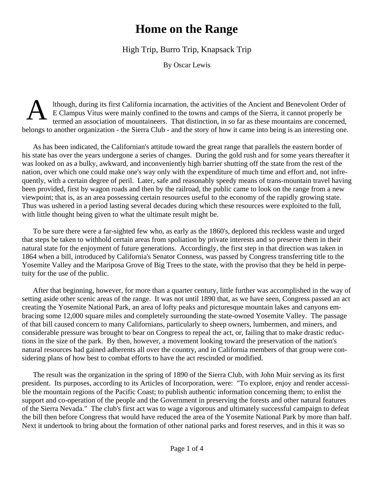## **Home on the Range**

High Trip, Burro Trip, Knapsack Trip

By Oscar Lewis

A lthough, during its first California incarnation, the activities of the Ancient and Benevolent Order of E Clampus Vitus were mainly confined to the towns and camps of the Sierra, it cannot properly be termed an association of mountaineers. That distinction, in so far as these mountains are concerned, belongs to another organization - the Sierra Club - and the story of how it came into being is an interesting one.

As has been indicated, the Californian's attitude toward the great range that parallels the eastern border of his state has over the years undergone a series of changes. During the gold rush and for some years thereafter it was looked on as a bulky, awkward, and inconveniently high barrier shutting off the state from the rest of the nation, over which one could make one's way only with the expenditure of much time and effort and, not infrequently, with a certain degree of peril. Later, safe and reasonably speedy means of trans-mountain travel having been provided, first by wagon roads and then by the railroad, the public came to look on the range from a new viewpoint; that is, as an area possessing certain resources useful to the economy of the rapidly growing state. Thus was ushered in a period lasting several decades during which these resources were exploited to the full, with little thought being given to what the ultimate result might be.

To be sure there were a far-sighted few who, as early as the 1860's, deplored this reckless waste and urged that steps be taken to withhold certain areas from spoliation by private interests and so preserve them in their natural state for the enjoyment of future generations. Accordingly, the first step in that direction was taken in 1864 when a bill, introduced by California's Senator Conness, was passed by Congress transferring title to the Yosemite Valley and the Mariposa Grove of Big Trees to the state, with the proviso that they be held in perpetuity for the use of the public.

After that beginning, however, for more than a quarter century, little further was accomplished in the way of setting aside other scenic areas of the range. It was not until 1890 that, as we have seen, Congress passed an act creating the Yosemite National Park, an area of lofty peaks and picturesque mountain lakes and canyons embracing some 12,000 square miles and completely surrounding the state-owned Yosemite Valley. The passage of that bill caused concern to many Californians, particularly to sheep owners, lumbermen, and miners, and considerable pressure was brought to bear on Congress to repeal the act, or, failing that to make drastic reductions in the size of the park. By then, however, a movement looking toward the preservation of the nation's natural resources had gained adherents all over the country, and in California members of that group were considering plans of how best to combat efforts to have the act rescinded or modified.

The result was the organization in the spring of 1890 of the Sierra Club, with John Muir serving as its first president. Its purposes, according to its Articles of Incorporation, were: "To explore, enjoy and render accessible the mountain regions of the Pacific Coast; to publish authentic information concerning them; to enlist the support and co-operation of the people and the Government in preserving the forests and other natural features of the Sierra Nevada." The club's first act was to wage a vigorous and ultimately successful campaign to defeat the bill then before Congress that would have reduced the area of the Yosemite National Park by more than half. Next it undertook to bring about the formation of other national parks and forest reserves, and in this it was so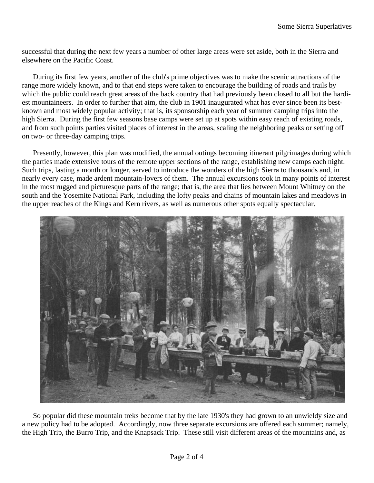successful that during the next few years a number of other large areas were set aside, both in the Sierra and elsewhere on the Pacific Coast.

During its first few years, another of the club's prime objectives was to make the scenic attractions of the range more widely known, and to that end steps were taken to encourage the building of roads and trails by which the public could reach great areas of the back country that had previously been closed to all but the hardiest mountaineers. In order to further that aim, the club in 1901 inaugurated what has ever since been its bestknown and most widely popular activity; that is, its sponsorship each year of summer camping trips into the high Sierra. During the first few seasons base camps were set up at spots within easy reach of existing roads, and from such points parties visited places of interest in the areas, scaling the neighboring peaks or setting off on two- or three-day camping trips.

Presently, however, this plan was modified, the annual outings becoming itinerant pilgrimages during which the parties made extensive tours of the remote upper sections of the range, establishing new camps each night. Such trips, lasting a month or longer, served to introduce the wonders of the high Sierra to thousands and, in nearly every case, made ardent mountain-lovers of them. The annual excursions took in many points of interest in the most rugged and picturesque parts of the range; that is, the area that lies between Mount Whitney on the south and the Yosemite National Park, including the lofty peaks and chains of mountain lakes and meadows in the upper reaches of the Kings and Kern rivers, as well as numerous other spots equally spectacular.



So popular did these mountain treks become that by the late 1930's they had grown to an unwieldy size and a new policy had to be adopted. Accordingly, now three separate excursions are offered each summer; namely, the High Trip, the Burro Trip, and the Knapsack Trip. These still visit different areas of the mountains and, as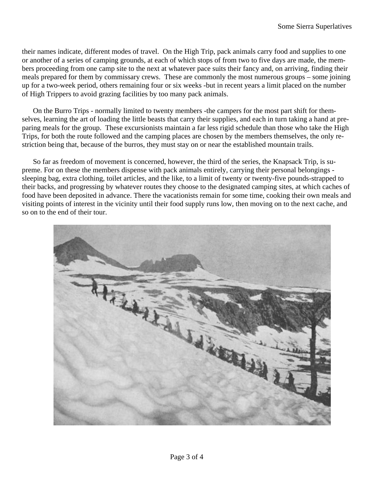their names indicate, different modes of travel. On the High Trip, pack animals carry food and supplies to one or another of a series of camping grounds, at each of which stops of from two to five days are made, the members proceeding from one camp site to the next at whatever pace suits their fancy and, on arriving, finding their meals prepared for them by commissary crews. These are commonly the most numerous groups – some joining up for a two-week period, others remaining four or six weeks -but in recent years a limit placed on the number of High Trippers to avoid grazing facilities by too many pack animals.

On the Burro Trips - normally limited to twenty members -the campers for the most part shift for themselves, learning the art of loading the little beasts that carry their supplies, and each in turn taking a hand at preparing meals for the group. These excursionists maintain a far less rigid schedule than those who take the High Trips, for both the route followed and the camping places are chosen by the members themselves, the only restriction being that, because of the burros, they must stay on or near the established mountain trails.

So far as freedom of movement is concerned, however, the third of the series, the Knapsack Trip, is supreme. For on these the members dispense with pack animals entirely, carrying their personal belongings sleeping bag, extra clothing, toilet articles, and the like, to a limit of twenty or twenty-five pounds-strapped to their backs, and progressing by whatever routes they choose to the designated camping sites, at which caches of food have been deposited in advance. There the vacationists remain for some time, cooking their own meals and visiting points of interest in the vicinity until their food supply runs low, then moving on to the next cache, and so on to the end of their tour.